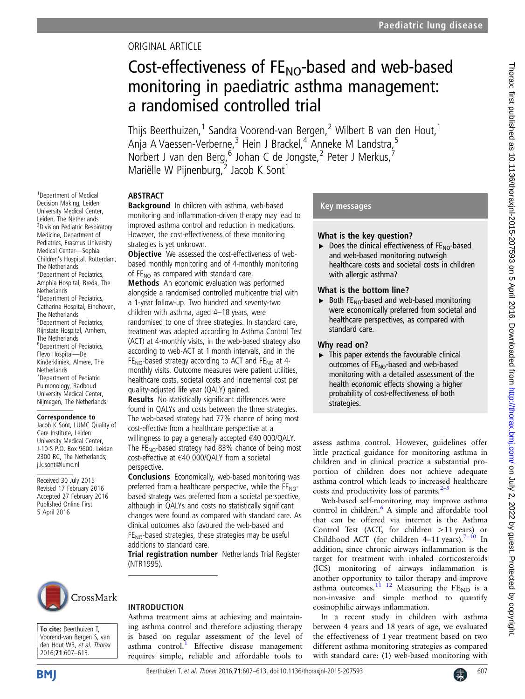# ORIGINAL ARTICLE

# Cost-effectiveness of  $FE_{NO}$ -based and web-based monitoring in paediatric asthma management: a randomised controlled trial

Thijs Beerthuizen,<sup>1</sup> Sandra Voorend-van Bergen,<sup>2</sup> Wilbert B van den Hout,<sup>1</sup> Anja A Vaessen-Verberne,<sup>3</sup> Hein J Brackel,<sup>4</sup> Anneke M Landstra,<sup>5</sup> Norbert J van den Berg,  $^6$  Johan C de Jongste, <sup>2</sup> Peter J Merkus,  $^7$ Mariëlle W Pijnenburg, $\frac{1}{2}$  Jacob K Sont<sup>1</sup>

# ABSTRACT

1 Department of Medical Decision Making, Leiden University Medical Center, Leiden, The Netherlands <sup>2</sup> Division Pediatric Respiratory Medicine, Department of Pediatrics, Erasmus University Medical Center—Sophia Children's Hospital, Rotterdam, The Netherlands <sup>3</sup> Department of Pediatrics, Amphia Hospital, Breda, The **Netherlands** 4 Department of Pediatrics, Catharina Hospital, Eindhoven, The Netherlands 5 Department of Pediatrics, Rijnstate Hospital, Arnhem, The Netherlands 6 Department of Pediatrics, Flevo Hospital—De Kinderkliniek, Almere, The **Netherlands** <sup>7</sup> Department of Pediatric Pulmonology, Radboud University Medical Center, Nijmegen, The Netherlands

# Correspondence to

Jacob K Sont, LUMC Quality of Care Institute, Leiden University Medical Center, J-10-S P.O. Box 9600, Leiden 2300 RC, The Netherlands; j.k.sont@lumc.nl

Received 30 July 2015 Revised 17 February 2016 Accepted 27 February 2016 Published Online First 5 April 2016



To cite: Beerthuizen T, Voorend-van Bergen S, van den Hout WB, et al. Thorax 2016;71:607–613.

Background In children with asthma, web-based monitoring and inflammation-driven therapy may lead to improved asthma control and reduction in medications. However, the cost-effectiveness of these monitoring strategies is yet unknown.

**Objective** We assessed the cost-effectiveness of webbased monthly monitoring and of 4-monthly monitoring of  $FE_{NO}$  as compared with standard care.

Methods An economic evaluation was performed alongside a randomised controlled multicentre trial with a 1-year follow-up. Two hundred and seventy-two children with asthma, aged 4–18 years, were randomised to one of three strategies. In standard care, treatment was adapted according to Asthma Control Test (ACT) at 4-monthly visits, in the web-based strategy also according to web-ACT at 1 month intervals, and in the  $FE_{NO}$ -based strategy according to ACT and  $FE_{NO}$  at 4monthly visits. Outcome measures were patient utilities, healthcare costs, societal costs and incremental cost per quality-adjusted life year (QALY) gained.

Results No statistically significant differences were found in QALYs and costs between the three strategies. The web-based strategy had 77% chance of being most cost-effective from a healthcare perspective at a willingness to pay a generally accepted €40 000/QALY. The  $FE_{NO}$ -based strategy had 83% chance of being most cost-effective at €40 000/QALY from a societal perspective.

Conclusions Economically, web-based monitoring was preferred from a healthcare perspective, while the  $FE<sub>NO</sub>$ based strategy was preferred from a societal perspective, although in QALYs and costs no statistically significant changes were found as compared with standard care. As clinical outcomes also favoured the web-based and  $FE<sub>NO</sub>$ -based strategies, these strategies may be useful additions to standard care.

Trial registration number Netherlands Trial Register (NTR1995).

# INTRODUCTION

Asthma treatment aims at achieving and maintaining asthma control and therefore adjusting therapy is based on regular assessment of the level of asthma control.<sup>[1](#page-5-0)</sup> Effective disease management requires simple, reliable and affordable tools to

# Key messages

# What is the key question?

 $\triangleright$  Does the clinical effectiveness of FE<sub>NO</sub>-based and web-based monitoring outweigh healthcare costs and societal costs in children with allergic asthma?

## What is the bottom line?

 $\triangleright$  Both FE<sub>NO</sub>-based and web-based monitoring were economically preferred from societal and healthcare perspectives, as compared with standard care.

# Why read on?

 $\triangleright$  This paper extends the favourable clinical outcomes of  $FE_{NO}$ -based and web-based monitoring with a detailed assessment of the health economic effects showing a higher probability of cost-effectiveness of both strategies.

assess asthma control. However, guidelines offer little practical guidance for monitoring asthma in children and in clinical practice a substantial proportion of children does not achieve adequate asthma control which leads to increased healthcare costs and productivity loss of parents. $2-5$  $2-5$ 

Web-based self-monitoring may improve asthma control in children. $6$  A simple and affordable tool that can be offered via internet is the Asthma Control Test (ACT, for children >11 years) or Childhood ACT (for children  $4-11$  years).<sup>7-[10](#page-5-0)</sup> In addition, since chronic airways inflammation is the target for treatment with inhaled corticosteroids (ICS) monitoring of airways inflammation is another opportunity to tailor therapy and improve asthma outcomes. $^{11}$   $^{12}$  Measuring the FE<sub>NO</sub> is a non-invasive and simple method to quantify eosinophilic airways inflammation.

In a recent study in children with asthma between 4 years and 18 years of age, we evaluated the effectiveness of 1 year treatment based on two different asthma monitoring strategies as compared with standard care: (1) web-based monitoring with

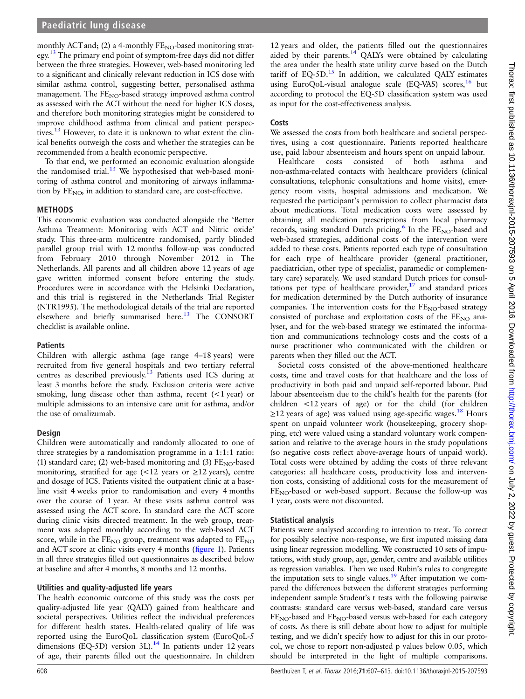monthly ACT and; (2) a 4-monthly  $FE_{NO}$ -based monitoring strat-egy.<sup>[13](#page-5-0)</sup> The primary end point of symptom-free days did not differ between the three strategies. However, web-based monitoring led to a significant and clinically relevant reduction in ICS dose with similar asthma control, suggesting better, personalised asthma management. The FE<sub>NO</sub>-based strategy improved asthma control as assessed with the ACT without the need for higher ICS doses, and therefore both monitoring strategies might be considered to improve childhood asthma from clinical and patient perspec-tives.<sup>[13](#page-5-0)</sup> However, to date it is unknown to what extent the clinical benefits outweigh the costs and whether the strategies can be recommended from a health economic perspective.

To that end, we performed an economic evaluation alongside the randomised trial.<sup>[13](#page-5-0)</sup> We hypothesised that web-based monitoring of asthma control and monitoring of airways inflammation by  $FE<sub>NO</sub>$ , in addition to standard care, are cost-effective.

#### METHODS

This economic evaluation was conducted alongside the 'Better Asthma Treatment: Monitoring with ACT and Nitric oxide' study. This three-arm multicentre randomised, partly blinded parallel group trial with 12 months follow-up was conducted from February 2010 through November 2012 in The Netherlands. All parents and all children above 12 years of age gave written informed consent before entering the study. Procedures were in accordance with the Helsinki Declaration, and this trial is registered in the Netherlands Trial Register (NTR1995). The methodological details of the trial are reported elsewhere and briefly summarised here.<sup>[13](#page-5-0)</sup> The CONSORT checklist is available online.

#### **Patients**

Children with allergic asthma (age range 4–18 years) were recruited from five general hospitals and two tertiary referral centres as described previously.<sup>[13](#page-5-0)</sup> Patients used ICS during at least 3 months before the study. Exclusion criteria were active smoking, lung disease other than asthma, recent (<1 year) or multiple admissions to an intensive care unit for asthma, and/or the use of omalizumab.

#### Design

Children were automatically and randomly allocated to one of three strategies by a randomisation programme in a 1:1:1 ratio: (1) standard care; (2) web-based monitoring and (3)  $FE<sub>NO</sub>$ -based monitoring, stratified for age  $\left($  < 12 years or  $\geq$  12 years), centre and dosage of ICS. Patients visited the outpatient clinic at a baseline visit 4 weeks prior to randomisation and every 4 months over the course of 1 year. At these visits asthma control was assessed using the ACT score. In standard care the ACT score during clinic visits directed treatment. In the web group, treatment was adapted monthly according to the web-based ACT score, while in the  $FE_{NO}$  group, treatment was adapted to  $FE_{NO}$ and ACT score at clinic visits every 4 months (fi[gure 1](#page-2-0)). Patients in all three strategies filled out questionnaires as described below at baseline and after 4 months, 8 months and 12 months.

### Utilities and quality-adjusted life years

The health economic outcome of this study was the costs per quality-adjusted life year (QALY) gained from healthcare and societal perspectives. Utilities reflect the individual preferences for different health states. Health-related quality of life was reported using the EuroQoL classification system (EuroQoL-5 dimensions (EQ-5D) version 3L).<sup>14</sup> In patients under 12 years of age, their parents filled out the questionnaire. In children

## **Costs**

We assessed the costs from both healthcare and societal perspectives, using a cost questionnaire. Patients reported healthcare use, paid labour absenteeism and hours spent on unpaid labour.

Healthcare costs consisted of both asthma and non-asthma-related contacts with healthcare providers (clinical consultations, telephonic consultations and home visits), emergency room visits, hospital admissions and medication. We requested the participant's permission to collect pharmacist data about medications. Total medication costs were assessed by obtaining all medication prescriptions from local pharmacy records, using standard Dutch pricing.<sup>6</sup> In the  $FE_{NO}$ -based and web-based strategies, additional costs of the intervention were added to these costs. Patients reported each type of consultation for each type of healthcare provider (general practitioner, paediatrician, other type of specialist, paramedic or complementary care) separately. We used standard Dutch prices for consultations per type of healthcare provider, $17$  and standard prices for medication determined by the Dutch authority of insurance companies. The intervention costs for the  $FE_{NO}$ -based strategy consisted of purchase and exploitation costs of the  $FE<sub>NO</sub>$  analyser, and for the web-based strategy we estimated the information and communications technology costs and the costs of a nurse practitioner who communicated with the children or parents when they filled out the ACT.

Societal costs consisted of the above-mentioned healthcare costs, time and travel costs for that healthcare and the loss of productivity in both paid and unpaid self-reported labour. Paid labour absenteeism due to the child's health for the parents (for children <12 years of age) or for the child (for children  $\geq$ 12 years of age) was valued using age-specific wages.<sup>[18](#page-5-0)</sup> Hours spent on unpaid volunteer work (housekeeping, grocery shopping, etc) were valued using a standard voluntary work compensation and relative to the average hours in the study populations (so negative costs reflect above-average hours of unpaid work). Total costs were obtained by adding the costs of three relevant categories: all healthcare costs, productivity loss and intervention costs, consisting of additional costs for the measurement of  $FE<sub>NO</sub>$ -based or web-based support. Because the follow-up was 1 year, costs were not discounted.

### Statistical analysis

Patients were analysed according to intention to treat. To correct for possibly selective non-response, we first imputed missing data using linear regression modelling. We constructed 10 sets of imputations, with study group, age, gender, centre and available utilities as regression variables. Then we used Rubin's rules to congregate the imputation sets to single values. $19$  After imputation we compared the differences between the different strategies performing independent sample Student's t tests with the following pairwise contrasts: standard care versus web-based, standard care versus  $FE<sub>NO</sub>$ -based and  $FE<sub>NO</sub>$ -based versus web-based for each category of costs. As there is still debate about how to adjust for multiple testing, and we didn't specify how to adjust for this in our protocol, we chose to report non-adjusted p values below 0.05, which should be interpreted in the light of multiple comparisons.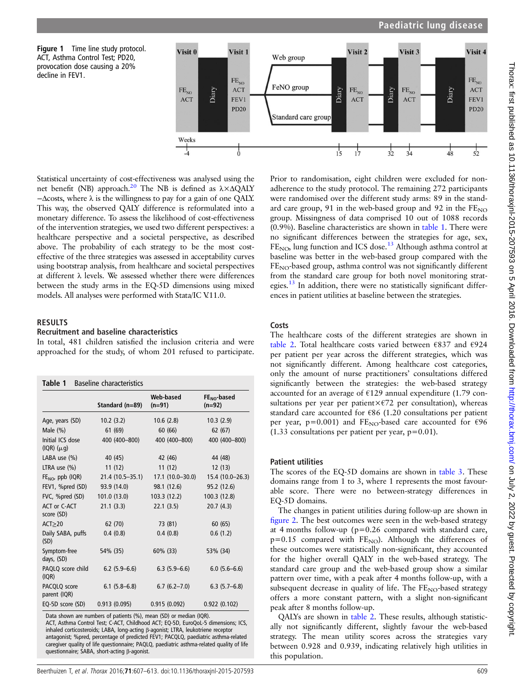<span id="page-2-0"></span>



Statistical uncertainty of cost-effectiveness was analysed using the net benefit (NB) approach.<sup>[20](#page-6-0)</sup> The NB is defined as  $\lambda \times \Delta QALY$ −Δcosts, where λ is the willingness to pay for a gain of one QALY. This way, the observed QALY difference is reformulated into a monetary difference. To assess the likelihood of cost-effectiveness of the intervention strategies, we used two different perspectives: a healthcare perspective and a societal perspective, as described above. The probability of each strategy to be the most costeffective of the three strategies was assessed in acceptability curves using bootstrap analysis, from healthcare and societal perspectives at different λ levels. We assessed whether there were differences between the study arms in the EQ-5D dimensions using mixed models. All analyses were performed with Stata/IC V.11.0.

## RESULTS

## Recruitment and baseline characteristics

In total, 481 children satisfied the inclusion criteria and were approached for the study, of whom 201 refused to participate.

| <b>Baseline characteristics</b><br>Table 1 |                  |                       |                           |  |  |
|--------------------------------------------|------------------|-----------------------|---------------------------|--|--|
|                                            | Standard (n=89)  | Web-based<br>$(n=91)$ | $FENO$ -based<br>$(n=92)$ |  |  |
| Age, years (SD)                            | 10.2(3.2)        | 10.6(2.8)             | 10.3(2.9)                 |  |  |
| Male $(\%)$                                | 61 (69)          | 60(66)                | 62(67)                    |  |  |
| Initial ICS dose<br>(IQR)(µg)              | 400 (400-800)    | 400 (400-800)         | 400 (400-800)             |  |  |
| LABA use $(\%)$                            | 40 (45)          | 42 (46)               | 44 (48)                   |  |  |
| LTRA use $(\%)$                            | 11(12)           | 11(12)                | 12(13)                    |  |  |
| $FE_{NO}$ , ppb (IQR)                      | 21.4 (10.5-35.1) | $17.1(10.0 - 30.0)$   | 15.4 (10.0-26.3)          |  |  |
| FEV1, %pred (SD)                           | 93.9 (14.0)      | 98.1 (12.6)           | 95.2 (12.6)               |  |  |
| FVC, %pred (SD)                            | 101.0(13.0)      | 103.3(12.2)           | 100.3 (12.8)              |  |  |
| ACT or C-ACT<br>score (SD)                 | 21.1(3.3)        | 22.1(3.5)             | 20.7(4.3)                 |  |  |
| ACT>20                                     | 62 (70)          | 73 (81)               | 60(65)                    |  |  |
| Daily SABA, puffs<br>(SD)                  | 0.4(0.8)         | 0.4(0.8)              | 0.6(1.2)                  |  |  |
| Symptom-free<br>days, (SD)                 | 54% (35)         | 60% (33)              | 53% (34)                  |  |  |
| PAQLQ score child<br>(IQR)                 | $6.2(5.9-6.6)$   | $6.3(5.9-6.6)$        | $6.0(5.6-6.6)$            |  |  |
| PACQLQ score<br>parent (IQR)               | $6.1(5.8-6.8)$   | $6.7(6.2 - 7.0)$      | $6.3(5.7-6.8)$            |  |  |
| EQ-5D score (SD)                           | 0.913(0.095)     | 0.915(0.092)          | 0.922(0.102)              |  |  |

Data shown are numbers of patients (%), mean (SD) or median (IQR). ACT, Asthma Control Test; C-ACT, Childhood ACT; EQ-5D, EuroQoL-5 dimensions; ICS, inhaled corticosteroids; LABA, long-acting β-agonist; LTRA, leukotriene receptor antagonist; %pred, percentage of predicted FEV1; PACQLQ, paediatric asthma-related caregiver quality of life questionnaire; PAQLQ, paediatric asthma-related quality of life questionnaire; SABA, short-acting β-agonist.

Prior to randomisation, eight children were excluded for nonadherence to the study protocol. The remaining 272 participants were randomised over the different study arms: 89 in the standard care group, 91 in the web-based group and 92 in the  $FE_{NO}$ group. Missingness of data comprised 10 out of 1088 records (0.9%). Baseline characteristics are shown in table 1. There were no significant differences between the strategies for age, sex, FE<sub>NO</sub>, lung function and ICS dose.<sup>[13](#page-5-0)</sup> Although asthma control at baseline was better in the web-based group compared with the  $FE<sub>NO</sub>$ -based group, asthma control was not significantly different from the standard care group for both novel monitoring strategies. $^{13}$  $^{13}$  $^{13}$  In addition, there were no statistically significant differences in patient utilities at baseline between the strategies.

#### **Costs**

The healthcare costs of the different strategies are shown in [table 2.](#page-3-0) Total healthcare costs varied between €837 and €924 per patient per year across the different strategies, which was not significantly different. Among healthcare cost categories, only the amount of nurse practitioners' consultations differed significantly between the strategies: the web-based strategy accounted for an average of €129 annual expenditure (1.79 consultations per year per patient $\times$  $E$ 72 per consultation), whereas standard care accounted for €86 (1.20 consultations per patient per year, p=0.001) and FE<sub>NO</sub>-based care accounted for  $\epsilon$ 96  $(1.33$  consultations per patient per year, p=0.01).

#### Patient utilities

The scores of the EQ-5D domains are shown in [table 3.](#page-4-0) These domains range from 1 to 3, where 1 represents the most favourable score. There were no between-strategy differences in EQ-5D domains.

The changes in patient utilities during follow-up are shown in fi[gure 2](#page-4-0). The best outcomes were seen in the web-based strategy at 4 months follow-up (p=0.26 compared with standard care,  $p=0.15$  compared with  $FE_{NO}$ ). Although the differences of these outcomes were statistically non-significant, they accounted for the higher overall QALY in the web-based strategy. The standard care group and the web-based group show a similar pattern over time, with a peak after 4 months follow-up, with a subsequent decrease in quality of life. The  $FE_{NO}$ -based strategy offers a more constant pattern, with a slight non-significant peak after 8 months follow-up.

QALYs are shown in [table 2.](#page-3-0) These results, although statistically not significantly different, slightly favour the web-based strategy. The mean utility scores across the strategies vary between 0.928 and 0.939, indicating relatively high utilities in this population.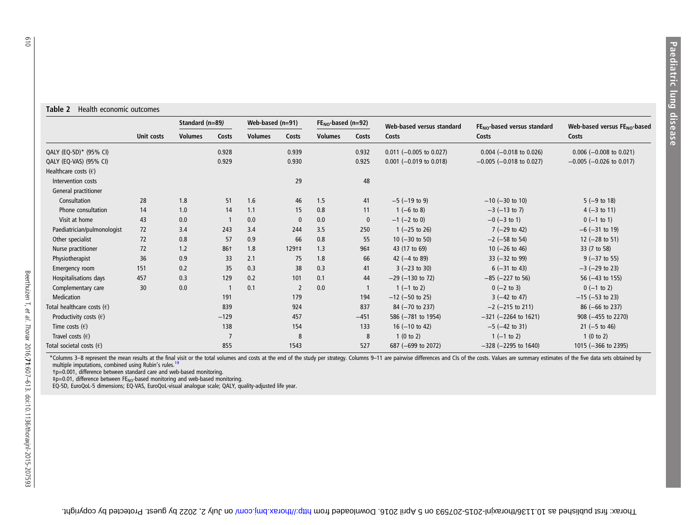#### <span id="page-3-0"></span>Table 2 Health economic outcomes

| Web-based versus $FE_{NO}$ -based<br>Costs |
|--------------------------------------------|
|                                            |
| $-0.005$ ( $-0.026$ to 0.017)              |
|                                            |
|                                            |
|                                            |
|                                            |
|                                            |
|                                            |
|                                            |
|                                            |
|                                            |
|                                            |
|                                            |
|                                            |
|                                            |
|                                            |
|                                            |
|                                            |
|                                            |
|                                            |
|                                            |
|                                            |

\*Columns 3–8 represent the mean results at the final visit or the total volumes and costs at the end of the study per strategy. Columns 9–11 are pairwise differences and CIs of the costs. Values are summary estimates of th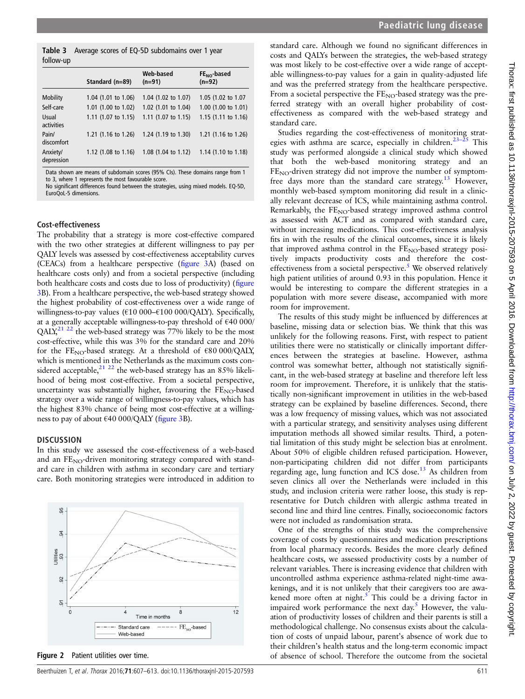|                        | Standard (n=89)                | Web-based<br>$(n=91)$ | $FENO$ -based<br>$(n=92)$ |  |
|------------------------|--------------------------------|-----------------------|---------------------------|--|
| <b>Mobility</b>        | 1.04 (1.01 to 1.06)            | 1.04 (1.02 to 1.07)   | 1.05 (1.02 to 1.07        |  |
| Self-care              | 1.01 (1.00 to 1.02)            | 1.02 (1.01 to 1.04)   | 1.00 (1.00 to 1.01)       |  |
| Usual<br>activities    | 1.11 $(1.07 \text{ to } 1.15)$ | 1.11 (1.07 to 1.15)   | 1.15 $(1.11$ to 1.16)     |  |
| Pain/<br>discomfort    | 1.21 (1.16 to 1.26)            | 1.24 (1.19 to 1.30)   | 1.21 (1.16 to 1.26)       |  |
| Anxiety/<br>depression | 1.12 (1.08 to 1.16)            | 1.08 (1.04 to 1.12)   | 1.14 (1.10 to 1.18)       |  |

Data shown are means of subdomain scores (95% CIs). These domains range from 1 to 3, where 1 represents the most favourable score.

No significant differences found between the strategies, using mixed models. EQ-5D, EuroQoL-5 dimensions.

#### Cost-effectiveness

<span id="page-4-0"></span>follow-up

The probability that a strategy is more cost-effective compared with the two other strategies at different willingness to pay per QALY levels was assessed by cost-effectiveness acceptability curves (CEACs) from a healthcare perspective (fi[gure 3](#page-5-0)A) (based on healthcare costs only) and from a societal perspective (including both healthcare costs and costs due to loss of productivity) (fi[gure](#page-5-0) [3B](#page-5-0)). From a healthcare perspective, the web-based strategy showed the highest probability of cost-effectiveness over a wide range of willingness-to-pay values (€10 000-€100 000/QALY). Specifically, at a generally acceptable willingness-to-pay threshold of €40 000/ QALY[,21 22](#page-6-0) the web-based strategy was 77% likely to be the most cost-effective, while this was 3% for the standard care and 20% for the FE<sub>NO</sub>-based strategy. At a threshold of  $\epsilon$ 80 000/QALY, which is mentioned in the Netherlands as the maximum costs considered acceptable,  $21 \frac{22}{1}$  the web-based strategy has an 85% likelihood of being most cost-effective. From a societal perspective, uncertainty was substantially higher, favouring the FE<sub>NO</sub>-based strategy over a wide range of willingness-to-pay values, which has the highest 83% chance of being most cost-effective at a willingness to pay of about  $\epsilon$ 40 000/QALY (fi[gure 3B](#page-5-0)).

#### **DISCUSSION**

In this study we assessed the cost-effectiveness of a web-based and an  $FE_{NO}$ -driven monitoring strategy compared with standard care in children with asthma in secondary care and tertiary care. Both monitoring strategies were introduced in addition to

95  $94$ Utilities<br>93 92  $\overline{9}$  $12$ 8 Time in months Standard care  $FE_{xo}$ -based Web-based

Figure 2 Patient utilities over time.

standard care. Although we found no significant differences in costs and QALYs between the strategies, the web-based strategy was most likely to be cost-effective over a wide range of acceptable willingness-to-pay values for a gain in quality-adjusted life and was the preferred strategy from the healthcare perspective. From a societal perspective the FE<sub>NO</sub>-based strategy was the preferred strategy with an overall higher probability of costeffectiveness as compared with the web-based strategy and standard care.

Studies regarding the cost-effectiveness of monitoring strat-egies with asthma are scarce, especially in children.<sup>23–[25](#page-6-0)</sup> This study was performed alongside a clinical study which showed that both the web-based monitoring strategy and an FE<sub>NO</sub>-driven strategy did not improve the number of symptom-free days more than the standard care strategy.<sup>[13](#page-5-0)</sup> However, monthly web-based symptom monitoring did result in a clinically relevant decrease of ICS, while maintaining asthma control. Remarkably, the  $FE_{NO}$ -based strategy improved asthma control as assessed with ACT and as compared with standard care, without increasing medications. This cost-effectiveness analysis fits in with the results of the clinical outcomes, since it is likely that improved asthma control in the  $FE_{NO}$ -based strategy positively impacts productivity costs and therefore the cost-effectiveness from a societal perspective.<sup>[5](#page-5-0)</sup> We observed relatively high patient utilities of around 0.93 in this population. Hence it would be interesting to compare the different strategies in a population with more severe disease, accompanied with more room for improvement.

The results of this study might be influenced by differences at baseline, missing data or selection bias. We think that this was unlikely for the following reasons. First, with respect to patient utilities there were no statistically or clinically important differences between the strategies at baseline. However, asthma control was somewhat better, although not statistically significant, in the web-based strategy at baseline and therefore left less room for improvement. Therefore, it is unlikely that the statistically non-significant improvement in utilities in the web-based strategy can be explained by baseline differences. Second, there was a low frequency of missing values, which was not associated with a particular strategy, and sensitivity analyses using different imputation methods all showed similar results. Third, a potential limitation of this study might be selection bias at enrolment. About 50% of eligible children refused participation. However, non-participating children did not differ from participants regarding age, lung function and ICS dose.<sup>[13](#page-5-0)</sup> As children from seven clinics all over the Netherlands were included in this study, and inclusion criteria were rather loose, this study is representative for Dutch children with allergic asthma treated in second line and third line centres. Finally, socioeconomic factors were not included as randomisation strata.

One of the strengths of this study was the comprehensive coverage of costs by questionnaires and medication prescriptions from local pharmacy records. Besides the more clearly defined healthcare costs, we assessed productivity costs by a number of relevant variables. There is increasing evidence that children with uncontrolled asthma experience asthma-related night-time awakenings, and it is not unlikely that their caregivers too are awakened more often at night. $5$  This could be a driving factor in impaired work performance the next day.<sup>[5](#page-5-0)</sup> However, the valuation of productivity losses of children and their parents is still a methodological challenge. No consensus exists about the calculation of costs of unpaid labour, parent's absence of work due to their children's health status and the long-term economic impact of absence of school. Therefore the outcome from the societal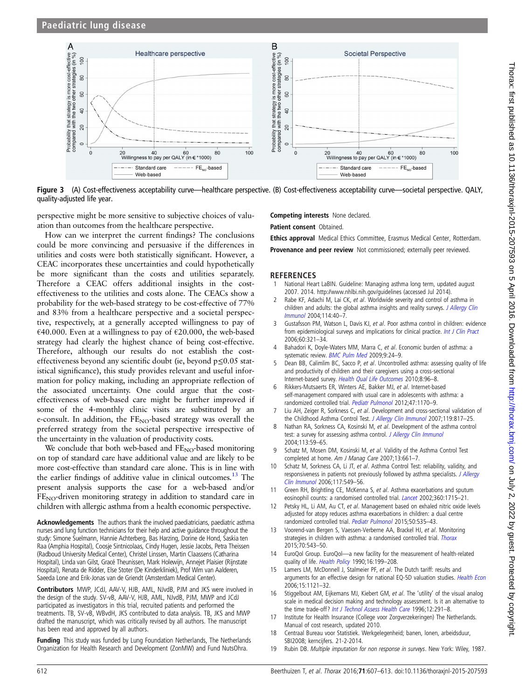<span id="page-5-0"></span>

Figure 3 (A) Cost-effectiveness acceptability curve—healthcare perspective. (B) Cost-effectiveness acceptability curve—societal perspective. QALY, quality-adjusted life year.

perspective might be more sensitive to subjective choices of valuation than outcomes from the healthcare perspective.

How can we interpret the current findings? The conclusions could be more convincing and persuasive if the differences in utilities and costs were both statistically significant. However, a CEAC incorporates these uncertainties and could hypothetically be more significant than the costs and utilities separately. Therefore a CEAC offers additional insights in the costeffectiveness to the utilities and costs alone. The CEACs show a probability for the web-based strategy to be cost-effective of 77% and 83% from a healthcare perspective and a societal perspective, respectively, at a generally accepted willingness to pay of €40.000. Even at a willingness to pay of €20.000, the web-based strategy had clearly the highest chance of being cost-effective. Therefore, although our results do not establish the costeffectiveness beyond any scientific doubt (ie, beyond p≤0.05 statistical significance), this study provides relevant and useful information for policy making, including an appropriate reflection of the associated uncertainty. One could argue that the costeffectiveness of web-based care might be further improved if some of the 4-monthly clinic visits are substituted by an e-consult. In addition, the  $FE_{NO}$ -based strategy was overall the preferred strategy from the societal perspective irrespective of the uncertainty in the valuation of productivity costs.

We conclude that both web-based and  $FE<sub>NO</sub>$ -based monitoring on top of standard care have additional value and are likely to be more cost-effective than standard care alone. This is in line with the earlier findings of additive value in clinical outcomes.<sup>13</sup> The present analysis supports the case for a web-based and/or  $FE<sub>NO</sub>$ -driven monitoring strategy in addition to standard care in children with allergic asthma from a health economic perspective.

Acknowledgements The authors thank the involved paediatricians, paediatric asthma nurses and lung function technicians for their help and active guidance throughout the study: Simone Suelmann, Hannie Achterberg, Bas Harzing, Dorine de Hond, Saskia ten Raa (Amphia Hospital), Coosje Sintnicolaas, Cindy Hugen, Jessie Jacobs, Petra Theissen (Radboud University Medical Center), Christel Linssen, Martin Claassens (Catharina Hospital), Linda van Gilst, Gracé Theunissen, Mark Holewijn, Annejet Plaisier (Rijnstate Hospital), Renata de Ridder, Else Stoter (De Kinderkliniek), Prof Wim van Aalderen, Saeeda Lone and Erik-Jonas van de Griendt (Amsterdam Medical Center).

Contributors MWP, JCdJ, AAV-V, HJB, AML, NJvdB, PJM and JKS were involved in the design of the study. SV-vB, AAV-V, HJB, AML, NJvdB, PJM, MWP and JCdJ participated as investigators in this trial, recruited patients and performed the treatments. TB, SV-vB, WBvdH, JKS contributed to data analysis. TB, JKS and MWP drafted the manuscript, which was critically revised by all authors. The manuscript has been read and approved by all authors.

Funding This study was funded by Lung Foundation Netherlands, The Netherlands Organization for Health Research and Development (ZonMW) and Fund NutsOhra.

Competing interests None declared.

Patient consent Obtained.

Ethics approval Medical Ethics Committee, Erasmus Medical Center, Rotterdam.

Provenance and peer review Not commissioned; externally peer reviewed.

#### **REFERENCES**

- 1 National Heart LaBIN. Guideline: Managing asthma long term, updated august 2007. 2014.<http://www.nhlbi.nih.gov/guidelines> (accessed Jul 2014).
- 2 Rabe KF, Adachi M, Lai CK, et al. Worldwide severity and control of asthma in children and adults: the global asthma insights and reality surveys. [J Allergy Clin](http://dx.doi.org/10.1016/j.jaci.2004.04.042) [Immunol](http://dx.doi.org/10.1016/j.jaci.2004.04.042) 2004;114:40–7.
- Gustafsson PM, Watson L, Davis KJ, et al. Poor asthma control in children: evidence from epidemiological surveys and implications for clinical practice. [Int J Clin Pract](http://dx.doi.org/10.1111/j.1368-5031.2006.00798.x) 2006;60:321–34.
- Bahadori K, Doyle-Waters MM, Marra C, et al. Economic burden of asthma: a systematic review. **[BMC Pulm Med](http://dx.doi.org/10.1186/1471-2466-9-24) 2009;9:24-9.**
- Dean BB, Calimlim BC, Sacco P, et al. Uncontrolled asthma: assessing quality of life and productivity of children and their caregivers using a cross-sectional Internet-based survey. [Health Qual Life Outcomes](http://dx.doi.org/10.1186/1477-7525-8-96) 2010;8:96-8.
- Rikkers-Mutsaerts ER, Winters AE, Bakker MJ, et al. Internet-based self-management compared with usual care in adolescents with asthma: a randomized controlled trial. [Pediatr Pulmonol](http://dx.doi.org/10.1002/ppul.22575) 2012;47:1170–9.
- 7 Liu AH, Zeiger R, Sorkness C, et al. Development and cross-sectional validation of the Childhood Asthma Control Test. [J Allergy Clin Immunol](http://dx.doi.org/10.1016/j.jaci.2006.12.662) 2007;119:817-25.
- 8 Nathan RA, Sorkness CA, Kosinski M, et al. Development of the asthma control test: a survey for assessing asthma control. [J Allergy Clin Immunol](http://dx.doi.org/10.1016/j.jaci.2003.09.008) 2004;113:59–65.
- 9 Schatz M, Mosen DM, Kosinski M, et al. Validity of the Asthma Control Test completed at home. Am J Manag Care 2007;13:661–7.
- 10 Schatz M, Sorkness CA, Li JT, et al. Asthma Control Test: reliability, validity, and responsiveness in patients not previously followed by asthma specialists. [J Allergy](http://dx.doi.org/10.1016/j.jaci.2006.01.011) [Clin Immunol](http://dx.doi.org/10.1016/j.jaci.2006.01.011) 2006;117:549–56.
- 11 Green RH, Brightling CE, McKenna S, et al. Asthma exacerbations and sputum eosinophil counts: a randomised controlled trial. *[Lancet](http://dx.doi.org/10.1016/S0140-6736(02)11679-5)* 2002;360:1715-21.
- 12 Petsky HL, Li AM, Au CT, et al. Management based on exhaled nitric oxide levels adjusted for atopy reduces asthma exacerbations in children: a dual centre randomized controlled trial. [Pediatr Pulmonol](http://dx.doi.org/10.1002/ppul.23064) 2015;50:535–43.
- 13 Voorend-van Bergen S, Vaessen-Verberne AA, Brackel HJ, et al. Monitoring strategies in children with asthma: a randomised controlled trial. [Thorax](http://dx.doi.org/10.1136/thoraxjnl-2014-206161) 2015;70:543–50.
- 14 EuroQol Group. EuroQol—a new facility for the measurement of health-related quality of life. [Health Policy](http://dx.doi.org/10.1016/0168-8510(90)90421-9) 1990;16:199-208.
- 15 Lamers LM, McDonnell J, Stalmeier PF, et al. The Dutch tariff: results and arguments for an effective design for national EQ-5D valuation studies. [Health Econ](http://dx.doi.org/10.1002/hec.1124) 2006;15:1121–32.
- 16 Stiggelbout AM, Eijkemans MJ, Kiebert GM, et al. The 'utility' of the visual analog scale in medical decision making and technology assessment. Is it an alternative to the time trade-off? [Int J Technol Assess Health Care](http://dx.doi.org/10.1017/S0266462300009648) 1996;12:291-8.
- 17 Institute for Health Insurance (College voor Zorgverzekeringen) The Netherlands. Manual of cost research, updated 2010.
- 18 Centraal Bureau voor Statistiek. Werkgelegenheid; banen, lonen, arbeidsduur, SBI2008; kerncijfers. 21-2-2014.
- 19 Rubin DB. Multiple imputation for non response in surveys. New York: Wiley, 1987.